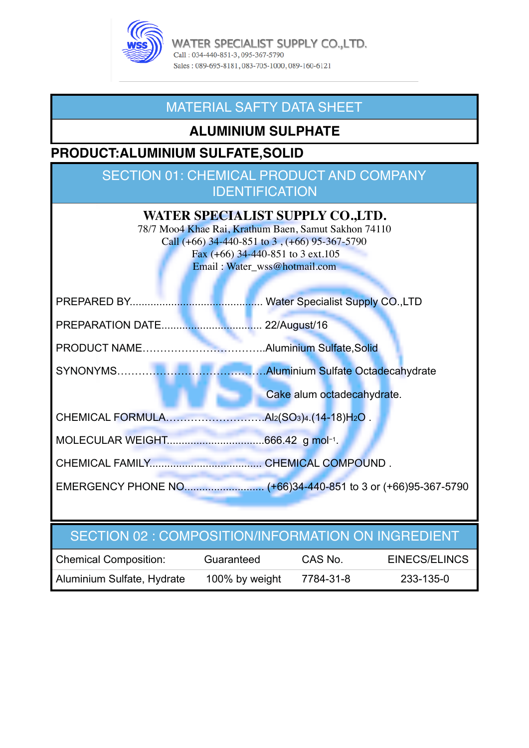

WATER SPECIALIST SUPPLY CO.,LTD. Call: 034-440-851-3, 095-367-5790 Sales: 089-695-8181, 083-705-1000, 089-160-6121

## MATERIAL SAFTY DATA SHEET

## **ALUMINIUM SULPHATE**

## **PRODUCT:ALUMINIUM SULFATE,SOLID**

## SECTION 01: CHEMICAL PRODUCT AND COMPANY **IDENTIFICATION**

| WATER SPECIALIST SUPPLY CO.,LTD.<br>78/7 Moo4 Khae Rai, Krathum Baen, Samut Sakhon 74110<br>Call $(+66)$ 34-440-851 to 3, $(+66)$ 95-367-5790<br>Fax $(+66)$ 34-440-851 to 3 ext.105<br>Email: Water_wss@hotmail.com |  |  |  |  |  |
|----------------------------------------------------------------------------------------------------------------------------------------------------------------------------------------------------------------------|--|--|--|--|--|
| <b>Water Specialist Supply CO., LTD</b>                                                                                                                                                                              |  |  |  |  |  |
| 22/August/16                                                                                                                                                                                                         |  |  |  |  |  |
|                                                                                                                                                                                                                      |  |  |  |  |  |
|                                                                                                                                                                                                                      |  |  |  |  |  |
| Cake alum octadecahydrate.                                                                                                                                                                                           |  |  |  |  |  |
|                                                                                                                                                                                                                      |  |  |  |  |  |
|                                                                                                                                                                                                                      |  |  |  |  |  |
|                                                                                                                                                                                                                      |  |  |  |  |  |
| EMERGENCY PHONE NO (+66)34-440-851 to 3 or (+66)95-367-5790                                                                                                                                                          |  |  |  |  |  |
|                                                                                                                                                                                                                      |  |  |  |  |  |

## SECTION 02 : COMPOSITION/INFORMATION ON INGREDIENT

| <b>Chemical Composition:</b> | Guaranteed     | CAS No.   | EINECS/ELINCS |
|------------------------------|----------------|-----------|---------------|
| Aluminium Sulfate, Hydrate   | 100% by weight | 7784-31-8 | 233-135-0     |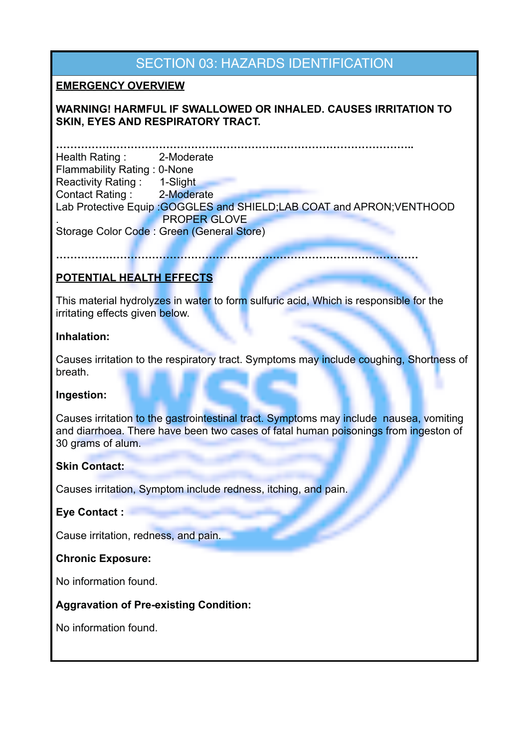## SECTION 03: HAZARDS IDENTIFICATION

#### **EMERGENCY OVERVIEW**

#### **WARNING! HARMFUL IF SWALLOWED OR INHALED. CAUSES IRRITATION TO SKIN, EYES AND RESPIRATORY TRACT.**

**………………………………………………………………………………………..**  Health Rating : 2-Moderate Flammability Rating : 0-None Reactivity Rating : 1-Slight Contact Rating : 2-Moderate Lab Protective Equip :GOGGLES and SHIELD;LAB COAT and APRON;VENTHOOD . PROPER GLOVE Storage Color Code : Green (General Store)

**…………………………………………………………………………………………**

#### **POTENTIAL HEALTH EFFECTS**

This material hydrolyzes in water to form sulfuric acid, Which is responsible for the irritating effects given below.

#### **Inhalation:**

Causes irritation to the respiratory tract. Symptoms may include coughing, Shortness of breath.

#### **Ingestion:**

Causes irritation to the gastrointestinal tract. Symptoms may include nausea, vomiting and diarrhoea. There have been two cases of fatal human poisonings from ingeston of 30 grams of alum.

#### **Skin Contact:**

Causes irritation, Symptom include redness, itching, and pain.

#### **Eye Contact :**

Cause irritation, redness, and pain.

#### **Chronic Exposure:**

No information found.

#### **Aggravation of Pre-existing Condition:**

No information found.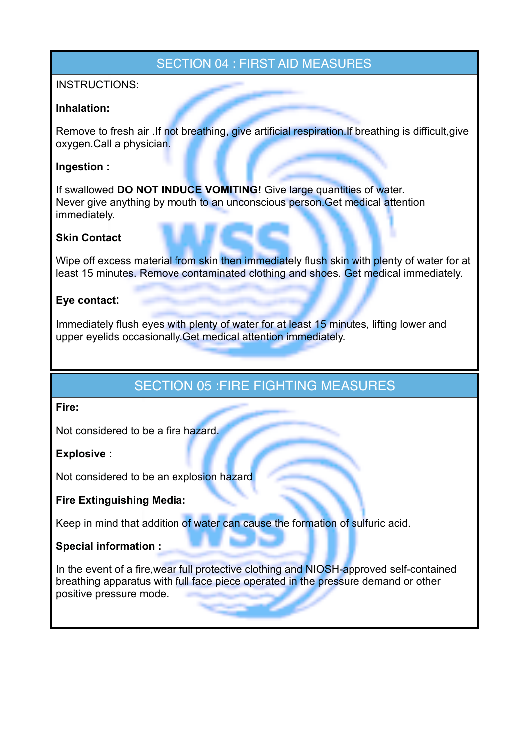### SECTION 04 : FIRST AID MEASURES

#### INSTRUCTIONS:

#### **Inhalation:**

Remove to fresh air .If not breathing, give artificial respiration.If breathing is difficult, give oxygen.Call a physician.

#### **Ingestion :**

If swallowed **DO NOT INDUCE VOMITING!** Give large quantities of water. Never give anything by mouth to an unconscious person.Get medical attention immediately.

#### **Skin Contact**

Wipe off excess material from skin then immediately flush skin with plenty of water for at least 15 minutes. Remove contaminated clothing and shoes. Get medical immediately.

#### **Eye contact**:

Immediately flush eyes with plenty of water for at least 15 minutes, lifting lower and upper eyelids occasionally.Get medical attention immediately.

### SECTION 05 :FIRE FIGHTING MEASURES

#### **Fire:**

Not considered to be a fire hazard.

#### **Explosive :**

Not considered to be an explosion hazard

#### **Fire Extinguishing Media:**

Keep in mind that addition of water can cause the formation of sulfuric acid.

#### **Special information :**

In the event of a fire,wear full protective clothing and NIOSH-approved self-contained breathing apparatus with full face piece operated in the pressure demand or other positive pressure mode.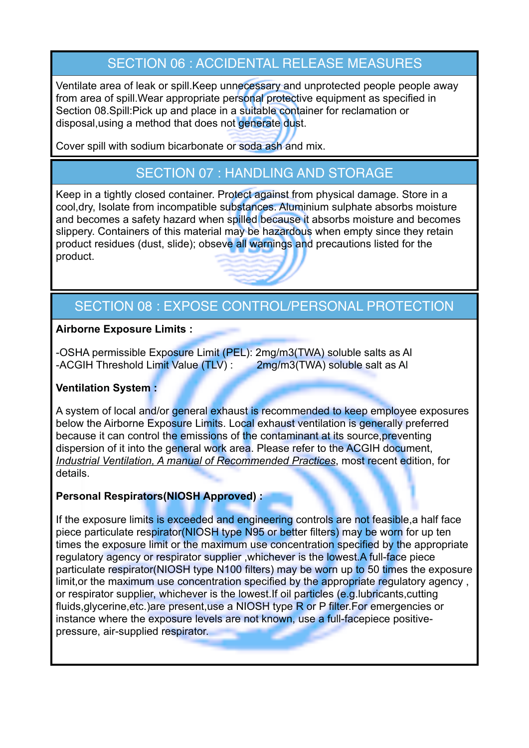# SECTION 06 : ACCIDENTAL RELEASE MEASURES

Ventilate area of leak or spill.Keep unnecessary and unprotected people people away from area of spill.Wear appropriate personal protective equipment as specified in Section 08.Spill:Pick up and place in a suitable container for reclamation or disposal,using a method that does not generate dust.

Cover spill with sodium bicarbonate or soda ash and mix.

# SECTION 07 : HANDLING AND STORAGE

Keep in a tightly closed container. Protect against from physical damage. Store in a cool,dry, Isolate from incompatible substances. Aluminium sulphate absorbs moisture and becomes a safety hazard when spilled because it absorbs moisture and becomes slippery. Containers of this material may be hazardous when empty since they retain product residues (dust, slide); obseve all warnings and precautions listed for the product.

# SECTION 08 : EXPOSE CONTROL/PERSONAL PROTECTION

#### **Airborne Exposure Limits :**

-OSHA permissible Exposure Limit (PEL): 2mg/m3(TWA) soluble salts as Al -ACGIH Threshold Limit Value (TLV) : 2mg/m3(TWA) soluble salt as Al

#### **Ventilation System :**

A system of local and/or general exhaust is recommended to keep employee exposures below the Airborne Exposure Limits. Local exhaust ventilation is generally preferred because it can control the emissions of the contaminant at its source, preventing dispersion of it into the general work area. Please refer to the ACGIH document, *Industrial Ventilation, A manual of Recommended Practices*, most recent edition, for details.

#### **Personal Respirators(NIOSH Approved) :**

If the exposure limits is exceeded and engineering controls are not feasible, a half face piece particulate respirator(NIOSH type N95 or better filters) may be worn for up ten times the exposure limit or the maximum use concentration specified by the appropriate regulatory agency or respirator supplier ,whichever is the lowest.A full-face piece particulate respirator(NIOSH type N100 filters) may be worn up to 50 times the exposure limit, or the maximum use concentration specified by the appropriate regulatory agency, or respirator supplier, whichever is the lowest.If oil particles (e.g.lubricants,cutting fluids,glycerine,etc.)are present,use a NIOSH type R or P filter.For emergencies or instance where the exposure levels are not known, use a full-facepiece positivepressure, air-supplied respirator.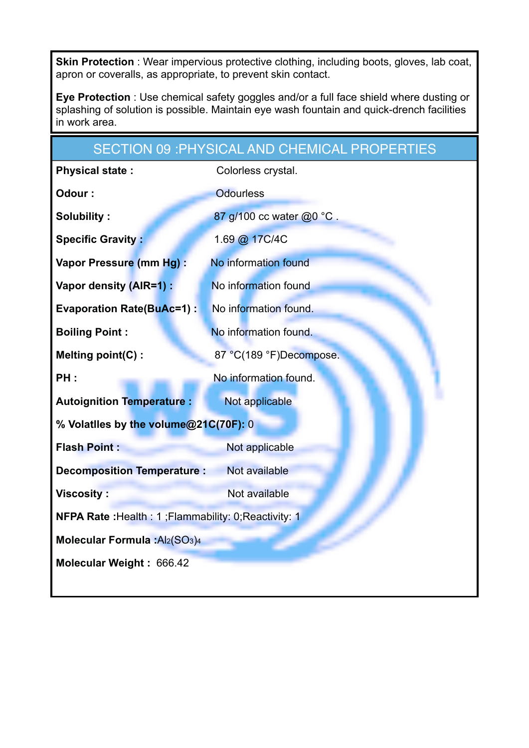**Skin Protection** : Wear impervious protective clothing, including boots, gloves, lab coat, apron or coveralls, as appropriate, to prevent skin contact.

**Eye Protection** : Use chemical safety goggles and/or a full face shield where dusting or splashing of solution is possible. Maintain eye wash fountain and quick-drench facilities in work area.

|                                                      | <b>SECTION 09 : PHYSICAL AND CHEMICAL PROPERTIES</b> |  |  |  |  |
|------------------------------------------------------|------------------------------------------------------|--|--|--|--|
| <b>Physical state:</b>                               | Colorless crystal.                                   |  |  |  |  |
| Odour:                                               | <b>Odourless</b>                                     |  |  |  |  |
| <b>Solubility:</b>                                   | 87 g/100 cc water @0 °C.                             |  |  |  |  |
| <b>Specific Gravity:</b>                             | 1.69 @ 17C/4C                                        |  |  |  |  |
| Vapor Pressure (mm Hg) :                             | No information found                                 |  |  |  |  |
| Vapor density (AIR=1) :                              | No information found                                 |  |  |  |  |
| <b>Evaporation Rate(BuAc=1):</b>                     | No information found.                                |  |  |  |  |
| <b>Boiling Point:</b>                                | No information found.                                |  |  |  |  |
| Melting point(C):                                    | 87 °C(189 °F)Decompose.                              |  |  |  |  |
| PH:                                                  | No information found.                                |  |  |  |  |
| <b>Autoignition Temperature:</b>                     | Not applicable                                       |  |  |  |  |
| % Volatiles by the volume@21C(70F): 0                |                                                      |  |  |  |  |
| <b>Flash Point:</b>                                  | Not applicable                                       |  |  |  |  |
| <b>Decomposition Temperature:</b>                    | Not available                                        |  |  |  |  |
| <b>Viscosity:</b>                                    | Not available                                        |  |  |  |  |
| NFPA Rate: Health: 1; Flammability: 0; Reactivity: 1 |                                                      |  |  |  |  |
| Molecular Formula : Al2(SO3)4                        |                                                      |  |  |  |  |
| Molecular Weight: 666.42                             |                                                      |  |  |  |  |
|                                                      |                                                      |  |  |  |  |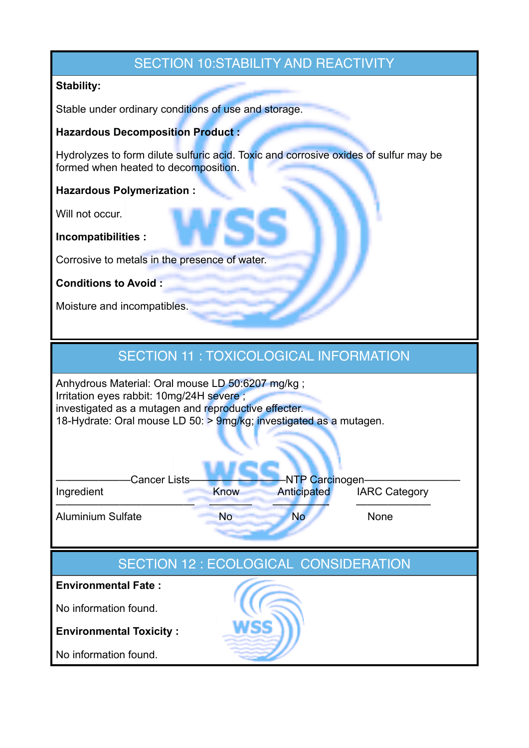## SECTION 10:STABILITY AND REACTIVITY

#### **Stability:**

Stable under ordinary conditions of use and storage.

#### **Hazardous Decomposition Product :**

Hydrolyzes to form dilute sulfuric acid. Toxic and corrosive oxides of sulfur may be formed when heated to decomposition.

**Hazardous Polymerization :** 

Will not occur.

**Incompatibilities :** 

Corrosive to metals in the presence of water.

#### **Conditions to Avoid :**

Moisture and incompatibles.

### SECTION 11 : TOXICOLOGICAL INFORMATION

Anhydrous Material: Oral mouse LD 50:6207 mg/kg ; Irritation eyes rabbit: 10mg/24H severe ; investigated as a mutagen and reproductive effecter. 18-Hydrate: Oral mouse LD 50: > 9mg/kg; investigated as a mutagen.

| <b>Cancer Lists-</b>     |      | -NTP Carcinogen- |                      |
|--------------------------|------|------------------|----------------------|
| Ingredient               | Know | Anticipated      | <b>IARC Category</b> |
| <b>Aluminium Sulfate</b> | No   | <b>No</b>        | <b>None</b>          |

## SECTION 12 : ECOLOGICAL CONSIDERATION

**Environmental Fate :**

No information found.

**Environmental Toxicity :** 

No information found.